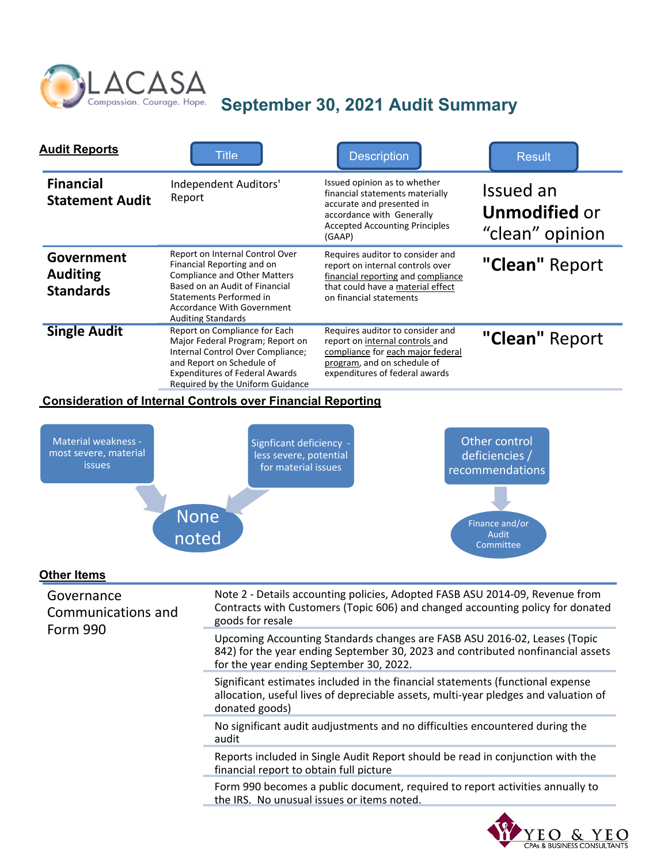

## Compassion. Courage. Hope. September 30, 2021 Audit Summary

| <b>Audit Reports</b>                              | <b>Title</b>                                                                                                                                                                                                                 | <b>Description</b>                                                                                                                                                           | <b>Result</b>                                        |
|---------------------------------------------------|------------------------------------------------------------------------------------------------------------------------------------------------------------------------------------------------------------------------------|------------------------------------------------------------------------------------------------------------------------------------------------------------------------------|------------------------------------------------------|
| <b>Financial</b><br><b>Statement Audit</b>        | Independent Auditors'<br>Report                                                                                                                                                                                              | Issued opinion as to whether<br>financial statements materially<br>accurate and presented in<br>accordance with Generally<br><b>Accepted Accounting Principles</b><br>(GAAP) | Issued an<br><b>Unmodified or</b><br>"clean" opinion |
| Government<br><b>Auditing</b><br><b>Standards</b> | Report on Internal Control Over<br>Financial Reporting and on<br><b>Compliance and Other Matters</b><br>Based on an Audit of Financial<br>Statements Performed in<br>Accordance With Government<br><b>Auditing Standards</b> | Requires auditor to consider and<br>report on internal controls over<br>financial reporting and compliance<br>that could have a material effect<br>on financial statements   | "Clean" Report                                       |
| <b>Single Audit</b>                               | Report on Compliance for Each<br>Major Federal Program; Report on<br>Internal Control Over Compliance;<br>and Report on Schedule of<br><b>Expenditures of Federal Awards</b><br>Required by the Uniform Guidance             | Requires auditor to consider and<br>report on internal controls and<br>compliance for each major federal<br>program, and on schedule of<br>expenditures of federal awards    | "Clean" Report                                       |

## **Consideration of Internal Controls over Financial Reporting**



EO & CPAs & BUSINESS CONSULTANTS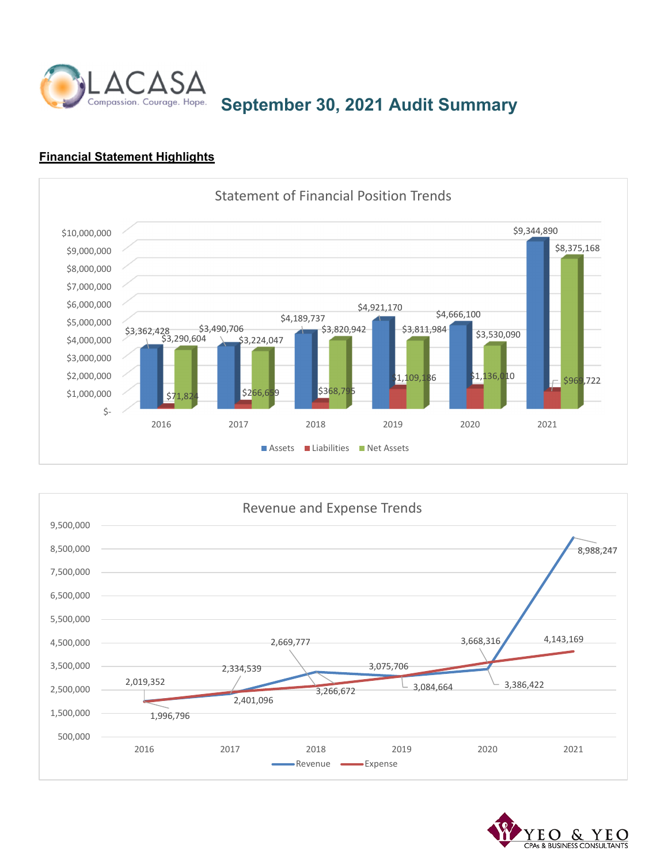

Compassion. Courage. Hope. September 30, 2021 Audit Summary

## **Financial Statement Highlights**